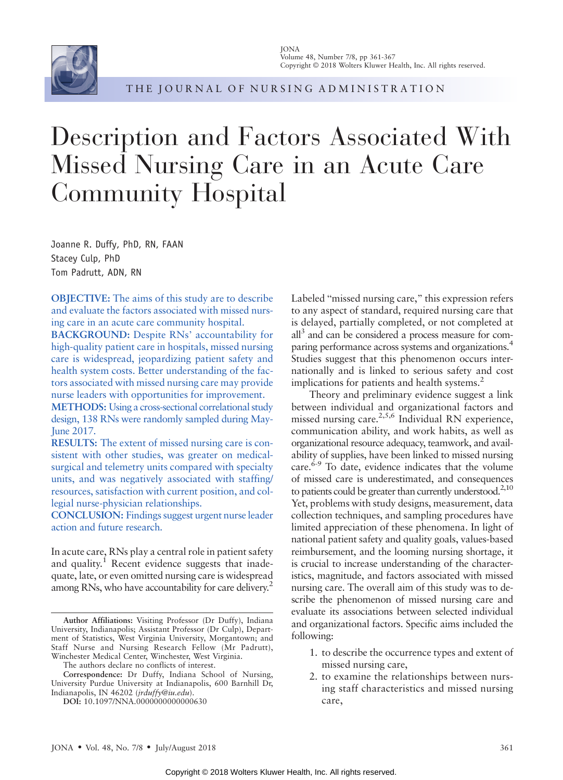

THE JOURNAL OF NURSING ADMINISTRATION

# Description and Factors Associated With Missed Nursing Care in an Acute Care Community Hospital

Joanne R. Duffy, PhD, RN, FAAN Stacey Culp, PhD Tom Padrutt, ADN, RN

OBJECTIVE: The aims of this study are to describe and evaluate the factors associated with missed nursing care in an acute care community hospital.

BACKGROUND: Despite RNs' accountability for high-quality patient care in hospitals, missed nursing care is widespread, jeopardizing patient safety and health system costs. Better understanding of the factors associated with missed nursing care may provide nurse leaders with opportunities for improvement.

METHODS: Using a cross-sectional correlational study design, 138 RNs were randomly sampled during May-June 2017.

RESULTS: The extent of missed nursing care is consistent with other studies, was greater on medicalsurgical and telemetry units compared with specialty units, and was negatively associated with staffing/ resources, satisfaction with current position, and collegial nurse-physician relationships.

CONCLUSION: Findings suggest urgent nurse leader action and future research.

In acute care, RNs play a central role in patient safety and quality.<sup>1</sup> Recent evidence suggests that inadequate, late, or even omitted nursing care is widespread among RNs, who have accountability for care delivery.<sup>2</sup>

Labeled "missed nursing care," this expression refers to any aspect of standard, required nursing care that is delayed, partially completed, or not completed at all3 and can be considered a process measure for comparing performance across systems and organizations.4 Studies suggest that this phenomenon occurs internationally and is linked to serious safety and cost implications for patients and health systems.<sup>2</sup>

Theory and preliminary evidence suggest a link between individual and organizational factors and missed nursing care. $2,5,6$  Individual RN experience, communication ability, and work habits, as well as organizational resource adequacy, teamwork, and availability of supplies, have been linked to missed nursing care. $6-9$  To date, evidence indicates that the volume of missed care is underestimated, and consequences to patients could be greater than currently understood. $2,10$ Yet, problems with study designs, measurement, data collection techniques, and sampling procedures have limited appreciation of these phenomena. In light of national patient safety and quality goals, values-based reimbursement, and the looming nursing shortage, it is crucial to increase understanding of the characteristics, magnitude, and factors associated with missed nursing care. The overall aim of this study was to describe the phenomenon of missed nursing care and evaluate its associations between selected individual and organizational factors. Specific aims included the following:

- 1. to describe the occurrence types and extent of missed nursing care,
- 2. to examine the relationships between nursing staff characteristics and missed nursing care,

Author Affiliations: Visiting Professor (Dr Duffy), Indiana University, Indianapolis; Assistant Professor (Dr Culp), Department of Statistics, West Virginia University, Morgantown; and Staff Nurse and Nursing Research Fellow (Mr Padrutt), Winchester Medical Center, Winchester, West Virginia.

The authors declare no conflicts of interest.

Correspondence: Dr Duffy, Indiana School of Nursing, University Purdue University at Indianapolis, 600 Barnhill Dr, Indianapolis, IN 46202 (jrduffy@iu.edu).

DOI: 10.1097/NNA.0000000000000630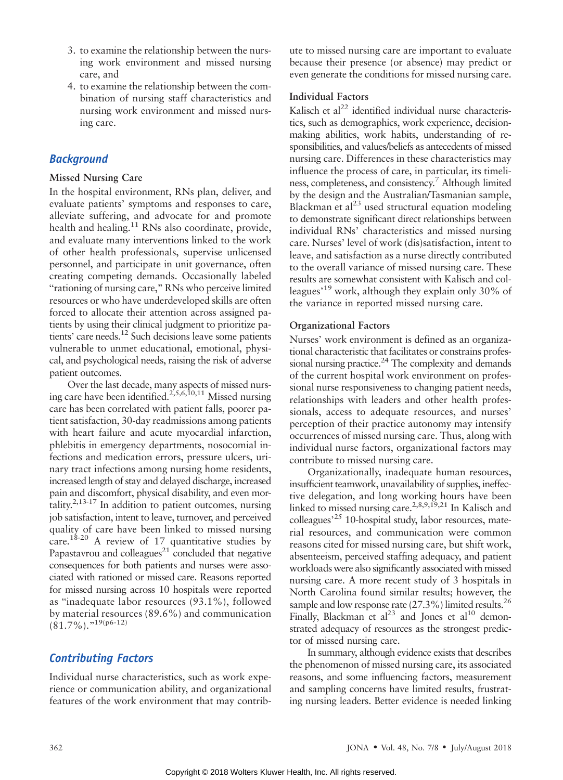- 3. to examine the relationship between the nursing work environment and missed nursing care, and
- 4. to examine the relationship between the combination of nursing staff characteristics and nursing work environment and missed nursing care.

# **Background**

## Missed Nursing Care

In the hospital environment, RNs plan, deliver, and evaluate patients' symptoms and responses to care, alleviate suffering, and advocate for and promote health and healing.<sup>11</sup> RNs also coordinate, provide, and evaluate many interventions linked to the work of other health professionals, supervise unlicensed personnel, and participate in unit governance, often creating competing demands. Occasionally labeled "rationing of nursing care," RNs who perceive limited resources or who have underdeveloped skills are often forced to allocate their attention across assigned patients by using their clinical judgment to prioritize patients' care needs.<sup>12</sup> Such decisions leave some patients vulnerable to unmet educational, emotional, physical, and psychological needs, raising the risk of adverse patient outcomes.

Over the last decade, many aspects of missed nursing care have been identified.<sup>2,5,6,10,11</sup> Missed nursing care has been correlated with patient falls, poorer patient satisfaction, 30-day readmissions among patients with heart failure and acute myocardial infarction, phlebitis in emergency departments, nosocomial infections and medication errors, pressure ulcers, urinary tract infections among nursing home residents, increased length of stay and delayed discharge, increased pain and discomfort, physical disability, and even mortality. $2,13-17$  In addition to patient outcomes, nursing job satisfaction, intent to leave, turnover, and perceived quality of care have been linked to missed nursing care.<sup>18-20</sup> A review of 17 quantitative studies by Papastavrou and colleagues $^{21}$  concluded that negative consequences for both patients and nurses were associated with rationed or missed care. Reasons reported for missed nursing across 10 hospitals were reported as "inadequate labor resources (93.1%), followed by material resources (89.6%) and communication  $(81.7\%)$ ."19(p6-12)

# Contributing Factors

Individual nurse characteristics, such as work experience or communication ability, and organizational features of the work environment that may contribute to missed nursing care are important to evaluate because their presence (or absence) may predict or even generate the conditions for missed nursing care.

## Individual Factors

Kalisch et al $^{22}$  identified individual nurse characteristics, such as demographics, work experience, decisionmaking abilities, work habits, understanding of responsibilities, and values/beliefs as antecedents of missed nursing care. Differences in these characteristics may influence the process of care, in particular, its timeliness, completeness, and consistency.<sup>7</sup> Although limited by the design and the Australian/Tasmanian sample, Blackman et  $al^{23}$  used structural equation modeling to demonstrate significant direct relationships between individual RNs' characteristics and missed nursing care. Nurses' level of work (dis)satisfaction, intent to leave, and satisfaction as a nurse directly contributed to the overall variance of missed nursing care. These results are somewhat consistent with Kalisch and colleagues<sup>, 19</sup> work, although they explain only 30% of the variance in reported missed nursing care.

# Organizational Factors

Nurses' work environment is defined as an organizational characteristic that facilitates or constrains professional nursing practice.<sup>24</sup> The complexity and demands of the current hospital work environment on professional nurse responsiveness to changing patient needs, relationships with leaders and other health professionals, access to adequate resources, and nurses' perception of their practice autonomy may intensify occurrences of missed nursing care. Thus, along with individual nurse factors, organizational factors may contribute to missed nursing care.

Organizationally, inadequate human resources, insufficient teamwork, unavailability of supplies, ineffective delegation, and long working hours have been linked to missed nursing care.<sup>2,8,9,19,21</sup> In Kalisch and colleagues<sup>, 25</sup> 10-hospital study, labor resources, material resources, and communication were common reasons cited for missed nursing care, but shift work, absenteeism, perceived staffing adequacy, and patient workloads were also significantly associated with missed nursing care. A more recent study of 3 hospitals in North Carolina found similar results; however, the sample and low response rate  $(27.3\%)$  limited results.<sup>26</sup> Finally, Blackman et  $al^{23}$  and Jones et  $al^{10}$  demonstrated adequacy of resources as the strongest predictor of missed nursing care.

In summary, although evidence exists that describes the phenomenon of missed nursing care, its associated reasons, and some influencing factors, measurement and sampling concerns have limited results, frustrating nursing leaders. Better evidence is needed linking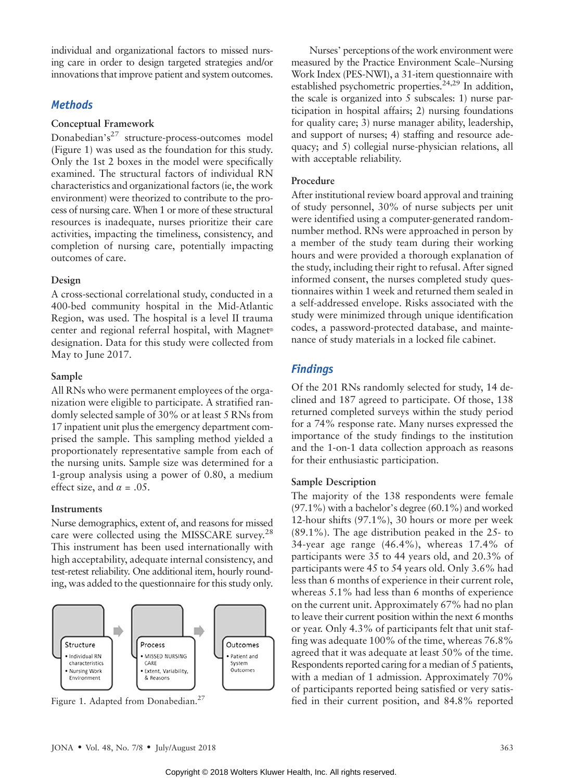individual and organizational factors to missed nursing care in order to design targeted strategies and/or innovations that improve patient and system outcomes.

# **Methods**

## Conceptual Framework

Donabedian's<sup>27</sup> structure-process-outcomes model (Figure 1) was used as the foundation for this study. Only the 1st 2 boxes in the model were specifically examined. The structural factors of individual RN characteristics and organizational factors (ie, the work environment) were theorized to contribute to the process of nursing care. When 1 or more of these structural resources is inadequate, nurses prioritize their care activities, impacting the timeliness, consistency, and completion of nursing care, potentially impacting outcomes of care.

## Design

A cross-sectional correlational study, conducted in a 400-bed community hospital in the Mid-Atlantic Region, was used. The hospital is a level II trauma center and regional referral hospital, with Magnet<sup>®</sup> designation. Data for this study were collected from May to June 2017.

## Sample

All RNs who were permanent employees of the organization were eligible to participate. A stratified randomly selected sample of 30% or at least 5 RNs from 17 inpatient unit plus the emergency department comprised the sample. This sampling method yielded a proportionately representative sample from each of the nursing units. Sample size was determined for a 1-group analysis using a power of 0.80, a medium effect size, and  $\alpha = .05$ .

## **Instruments**

Nurse demographics, extent of, and reasons for missed care were collected using the MISSCARE survey.<sup>28</sup> This instrument has been used internationally with high acceptability, adequate internal consistency, and test-retest reliability. One additional item, hourly rounding, was added to the questionnaire for this study only.



Nurses' perceptions of the work environment were measured by the Practice Environment Scale–Nursing Work Index (PES-NWI), a 31-item questionnaire with established psychometric properties.<sup>24,29</sup> In addition, the scale is organized into 5 subscales: 1) nurse participation in hospital affairs; 2) nursing foundations for quality care; 3) nurse manager ability, leadership, and support of nurses; 4) staffing and resource adequacy; and 5) collegial nurse-physician relations, all with acceptable reliability.

# Procedure

After institutional review board approval and training of study personnel, 30% of nurse subjects per unit were identified using a computer-generated randomnumber method. RNs were approached in person by a member of the study team during their working hours and were provided a thorough explanation of the study, including their right to refusal. After signed informed consent, the nurses completed study questionnaires within 1 week and returned them sealed in a self-addressed envelope. Risks associated with the study were minimized through unique identification codes, a password-protected database, and maintenance of study materials in a locked file cabinet.

# Findings

Of the 201 RNs randomly selected for study, 14 declined and 187 agreed to participate. Of those, 138 returned completed surveys within the study period for a 74% response rate. Many nurses expressed the importance of the study findings to the institution and the 1-on-1 data collection approach as reasons for their enthusiastic participation.

# Sample Description

The majority of the 138 respondents were female  $(97.1\%)$  with a bachelor's degree  $(60.1\%)$  and worked 12-hour shifts (97.1%), 30 hours or more per week (89.1%). The age distribution peaked in the 25- to 34-year age range (46.4%), whereas 17.4% of participants were 35 to 44 years old, and 20.3% of participants were 45 to 54 years old. Only 3.6% had less than 6 months of experience in their current role, whereas 5.1% had less than 6 months of experience on the current unit. Approximately 67% had no plan to leave their current position within the next 6 months or year. Only 4.3% of participants felt that unit staffing was adequate 100% of the time, whereas 76.8% agreed that it was adequate at least 50% of the time. Respondents reported caring for a median of 5 patients, with a median of 1 admission. Approximately 70% of participants reported being satisfied or very satis-Figure 1. Adapted from Donabedian.<sup>27</sup> fied in their current position, and 84.8% reported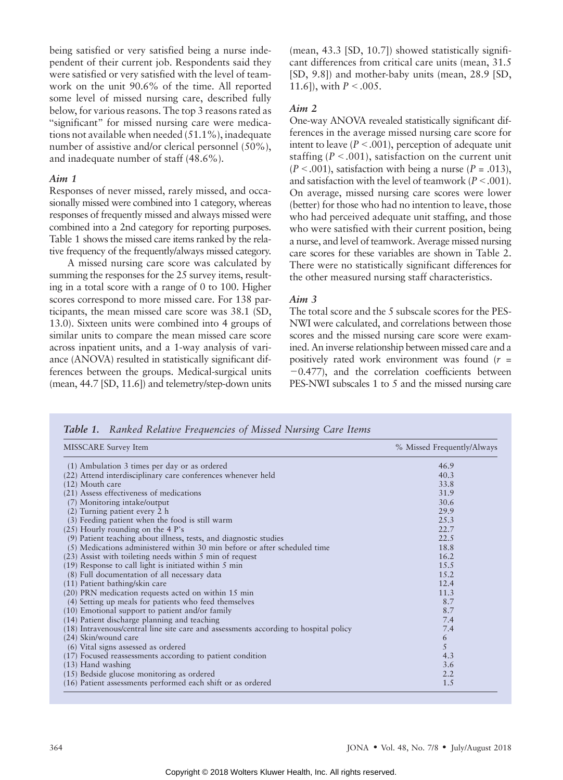being satisfied or very satisfied being a nurse independent of their current job. Respondents said they were satisfied or very satisfied with the level of teamwork on the unit 90.6% of the time. All reported some level of missed nursing care, described fully below, for various reasons. The top 3 reasons rated as "significant" for missed nursing care were medications not available when needed (51.1%), inadequate number of assistive and/or clerical personnel (50%), and inadequate number of staff (48.6%).

### Aim 1

Responses of never missed, rarely missed, and occasionally missed were combined into 1 category, whereas responses of frequently missed and always missed were combined into a 2nd category for reporting purposes. Table 1 shows the missed care items ranked by the relative frequency of the frequently/always missed category.

A missed nursing care score was calculated by summing the responses for the 25 survey items, resulting in a total score with a range of 0 to 100. Higher scores correspond to more missed care. For 138 participants, the mean missed care score was 38.1 (SD, 13.0). Sixteen units were combined into 4 groups of similar units to compare the mean missed care score across inpatient units, and a 1-way analysis of variance (ANOVA) resulted in statistically significant differences between the groups. Medical-surgical units (mean, 44.7 [SD, 11.6]) and telemetry/step-down units (mean, 43.3 [SD, 10.7]) showed statistically significant differences from critical care units (mean, 31.5 [SD, 9.8]) and mother-baby units (mean, 28.9 [SD, 11.6]), with  $P < .005$ .

### Aim 2

One-way ANOVA revealed statistically significant differences in the average missed nursing care score for intent to leave  $(P < .001)$ , perception of adequate unit staffing ( $P < .001$ ), satisfaction on the current unit  $(P < .001)$ , satisfaction with being a nurse  $(P = .013)$ , and satisfaction with the level of teamwork ( $P < .001$ ). On average, missed nursing care scores were lower (better) for those who had no intention to leave, those who had perceived adequate unit staffing, and those who were satisfied with their current position, being a nurse, and level of teamwork. Average missed nursing care scores for these variables are shown in Table 2. There were no statistically significant differences for the other measured nursing staff characteristics.

## Aim 3

The total score and the 5 subscale scores for the PES-NWI were calculated, and correlations between those scores and the missed nursing care score were examined. An inverse relationship between missed care and a positively rated work environment was found  $(r =$  $-0.477$ ), and the correlation coefficients between PES-NWI subscales 1 to 5 and the missed nursing care

| MISSCARE Survey Item                                                                 | % Missed Frequently/Always |
|--------------------------------------------------------------------------------------|----------------------------|
| (1) Ambulation 3 times per day or as ordered                                         | 46.9                       |
| (22) Attend interdisciplinary care conferences whenever held                         | 40.3                       |
| (12) Mouth care                                                                      | 33.8                       |
| (21) Assess effectiveness of medications                                             | 31.9                       |
| (7) Monitoring intake/output                                                         | 30.6                       |
| (2) Turning patient every 2 h                                                        | 29.9                       |
| (3) Feeding patient when the food is still warm                                      | 25.3                       |
| $(25)$ Hourly rounding on the 4 P's                                                  | 22.7                       |
| (9) Patient teaching about illness, tests, and diagnostic studies                    | 22.5                       |
| (5) Medications administered within 30 min before or after scheduled time            | 18.8                       |
| $(23)$ Assist with toileting needs within 5 min of request                           | 16.2                       |
| (19) Response to call light is initiated within 5 min                                | 15.5                       |
| (8) Full documentation of all necessary data                                         | 15.2                       |
| (11) Patient bathing/skin care                                                       | 12.4                       |
| (20) PRN medication requests acted on within 15 min                                  | 11.3                       |
| (4) Setting up meals for patients who feed themselves                                | 8.7                        |
| (10) Emotional support to patient and/or family                                      | 8.7                        |
| (14) Patient discharge planning and teaching                                         | 7.4                        |
| (18) Intravenous/central line site care and assessments according to hospital policy | 7.4                        |
| (24) Skin/wound care                                                                 | 6                          |
| (6) Vital signs assessed as ordered                                                  | 5                          |
| (17) Focused reassessments according to patient condition                            | 4.3                        |
| $(13)$ Hand washing                                                                  | 3.6                        |
| (15) Bedside glucose monitoring as ordered                                           | 2.2                        |
| (16) Patient assessments performed each shift or as ordered                          | 1.5                        |

Table 1. Ranked Relative Frequencies of Missed Nursing Care Items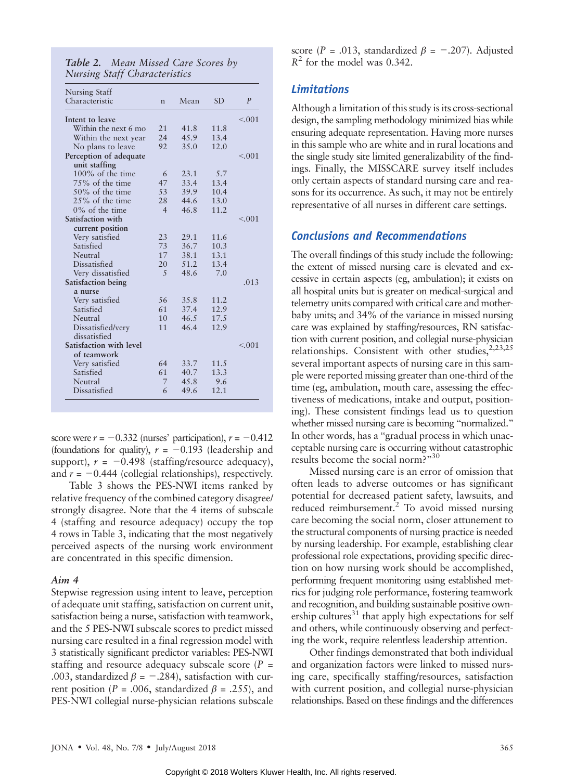Table 2. Mean Missed Care Scores by Nursing Staff Characteristics

| Nursing Staff           |                |      |           |         |
|-------------------------|----------------|------|-----------|---------|
| Characteristic          | $\mathsf{n}$   | Mean | <b>SD</b> | P       |
| Intent to leave         |                |      |           | < 0.001 |
| Within the next 6 mo    | 21             | 41.8 | 11.8      |         |
| Within the next year    | 24             | 45.9 | 13.4      |         |
| No plans to leave       | 92             | 35.0 | 12.0      |         |
| Perception of adequate  |                |      |           | < 0.01  |
| unit staffing           |                |      |           |         |
| 100% of the time        | 6              | 23.1 | 5.7       |         |
| 75% of the time         | 47             | 33.4 | 13.4      |         |
| $50\%$ of the time      | 53             | 39.9 | 10.4      |         |
| $25\%$ of the time      | 28             | 44.6 | 13.0      |         |
| $0\%$ of the time       | $\overline{4}$ | 46.8 | 11.2      |         |
| Satisfaction with       |                |      |           | < 0.01  |
| current position        |                |      |           |         |
| Very satisfied          | 23             | 29.1 | 11.6      |         |
| Satisfied               | 73             | 36.7 | 10.3      |         |
| Neutral                 | 17             | 38.1 | 13.1      |         |
| Dissatisfied            | 20             | 51.2 | 13.4      |         |
| Very dissatisfied       | 5              | 48.6 | 7.0       |         |
| Satisfaction being      |                |      |           | .013    |
| a nurse                 |                |      |           |         |
| Very satisfied          | 56             | 35.8 | 11.2      |         |
| Satisfied               | 61             | 37.4 | 12.9      |         |
| Neutral                 | 10             | 46.5 | 17.5      |         |
| Dissatisfied/very       | 11             | 46.4 | 12.9      |         |
| dissatisfied            |                |      |           |         |
| Satisfaction with level |                |      |           | < 0.01  |
| of teamwork             |                |      |           |         |
| Very satisfied          | 64             | 33.7 | 11.5      |         |
| Satisfied               | 61             | 40.7 | 13.3      |         |
| Neutral                 | 7              | 45.8 | 9.6       |         |
| Dissatisfied            | 6              | 49.6 | 12.1      |         |

score were  $r = -0.332$  (nurses' participation),  $r = -0.412$ (foundations for quality),  $r = -0.193$  (leadership and support),  $r = -0.498$  (staffing/resource adequacy), and  $r = -0.444$  (collegial relationships), respectively.

Table 3 shows the PES-NWI items ranked by relative frequency of the combined category disagree/ strongly disagree. Note that the 4 items of subscale 4 (staffing and resource adequacy) occupy the top 4 rows in Table 3, indicating that the most negatively perceived aspects of the nursing work environment are concentrated in this specific dimension.

## Aim 4

Stepwise regression using intent to leave, perception of adequate unit staffing, satisfaction on current unit, satisfaction being a nurse, satisfaction with teamwork, and the 5 PES-NWI subscale scores to predict missed nursing care resulted in a final regression model with 3 statistically significant predictor variables: PES-NWI staffing and resource adequacy subscale score  $(P =$ .003, standardized  $\beta$  = -.284), satisfaction with current position (P = .006, standardized  $\beta$  = .255), and PES-NWI collegial nurse-physician relations subscale score (P = .013, standardized  $\beta$  = -.207). Adjusted  $R^2$  for the model was 0.342.

# Limitations

Although a limitation of this study is its cross-sectional design, the sampling methodology minimized bias while ensuring adequate representation. Having more nurses in this sample who are white and in rural locations and the single study site limited generalizability of the findings. Finally, the MISSCARE survey itself includes only certain aspects of standard nursing care and reasons for its occurrence. As such, it may not be entirely representative of all nurses in different care settings.

# Conclusions and Recommendations

The overall findings of this study include the following: the extent of missed nursing care is elevated and excessive in certain aspects (eg, ambulation); it exists on all hospital units but is greater on medical-surgical and telemetry units compared with critical care and motherbaby units; and 34% of the variance in missed nursing care was explained by staffing/resources, RN satisfaction with current position, and collegial nurse-physician relationships. Consistent with other studies,  $2,23,25$ several important aspects of nursing care in this sample were reported missing greater than one-third of the time (eg, ambulation, mouth care, assessing the effectiveness of medications, intake and output, positioning). These consistent findings lead us to question whether missed nursing care is becoming "normalized." In other words, has a "gradual process in which unacceptable nursing care is occurring without catastrophic results become the social norm?"30

Missed nursing care is an error of omission that often leads to adverse outcomes or has significant potential for decreased patient safety, lawsuits, and reduced reimbursement.<sup>2</sup> To avoid missed nursing care becoming the social norm, closer attunement to the structural components of nursing practice is needed by nursing leadership. For example, establishing clear professional role expectations, providing specific direction on how nursing work should be accomplished, performing frequent monitoring using established metrics for judging role performance, fostering teamwork and recognition, and building sustainable positive ownership cultures $31$  that apply high expectations for self and others, while continuously observing and perfecting the work, require relentless leadership attention.

Other findings demonstrated that both individual and organization factors were linked to missed nursing care, specifically staffing/resources, satisfaction with current position, and collegial nurse-physician relationships. Based on these findings and the differences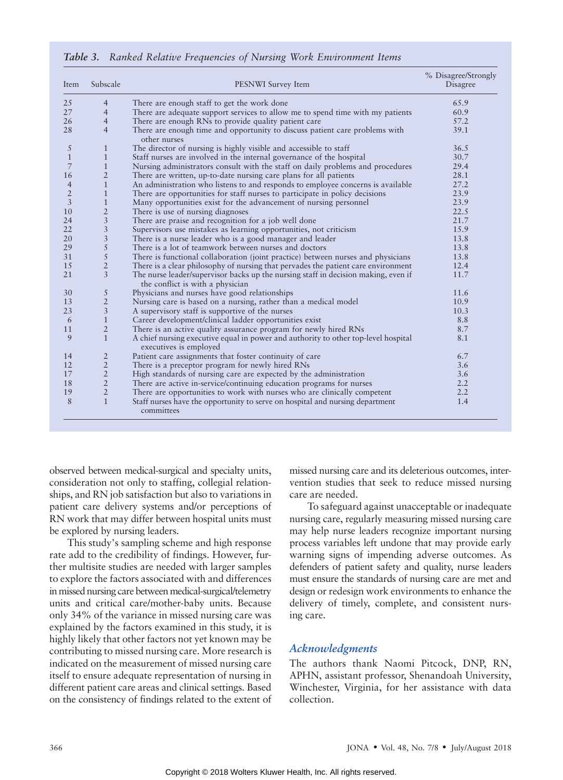Table 3. Ranked Relative Frequencies of Nursing Work Environment Items

| Item           | Subscale                | PESNWI Survey Item                                                                                                     | % Disagree/Strongly<br>Disagree |
|----------------|-------------------------|------------------------------------------------------------------------------------------------------------------------|---------------------------------|
| 25             | $\overline{4}$          | There are enough staff to get the work done                                                                            | 65.9                            |
| 27             | $\overline{4}$          | There are adequate support services to allow me to spend time with my patients                                         | 60.9                            |
| 26             | $\overline{4}$          | There are enough RNs to provide quality patient care                                                                   | 57.2                            |
| 28             | $\overline{4}$          | There are enough time and opportunity to discuss patient care problems with<br>other nurses                            | 39.1                            |
| 5              | $\mathbf{1}$            | The director of nursing is highly visible and accessible to staff                                                      | 36.5                            |
| $\mathbf{1}$   | $\mathbf{1}$            | Staff nurses are involved in the internal governance of the hospital                                                   | 30.7                            |
| 7              | $\mathbf{1}$            | Nursing administrators consult with the staff on daily problems and procedures                                         | 29.4                            |
| 16             | $\overline{2}$          | There are written, up-to-date nursing care plans for all patients                                                      | 28.1                            |
| $\overline{4}$ | $\mathbf{1}$            | An administration who listens to and responds to employee concerns is available                                        | 27.2                            |
| $\overline{2}$ | $\mathbf{1}$            | There are opportunities for staff nurses to participate in policy decisions                                            | 23.9                            |
| $\overline{3}$ | $\mathbf{1}$            | Many opportunities exist for the advancement of nursing personnel                                                      | 23.9                            |
| 10             | $\overline{2}$          | There is use of nursing diagnoses                                                                                      | 22.5                            |
| 24             | $\overline{3}$          | There are praise and recognition for a job well done                                                                   | 21.7                            |
| 22             | 3                       | Supervisors use mistakes as learning opportunities, not criticism                                                      | 15.9                            |
| 20             | $\overline{3}$          | There is a nurse leader who is a good manager and leader                                                               | 13.8                            |
| 29             | 5                       | There is a lot of teamwork between nurses and doctors                                                                  | 13.8                            |
| 31             | $\sqrt{5}$              | There is functional collaboration (joint practice) between nurses and physicians                                       | 13.8                            |
| 15             | $\overline{2}$          | There is a clear philosophy of nursing that pervades the patient care environment                                      | 12.4                            |
| 21             | $\overline{\mathbf{3}}$ | The nurse leader/supervisor backs up the nursing staff in decision making, even if<br>the conflict is with a physician | 11.7                            |
| 30             | $\sqrt{5}$              | Physicians and nurses have good relationships                                                                          | 11.6                            |
| 13             | $\overline{2}$          | Nursing care is based on a nursing, rather than a medical model                                                        | 10.9                            |
| 23             | $\mathfrak{Z}$          | A supervisory staff is supportive of the nurses                                                                        | 10.3                            |
| 6              | $\mathbf{1}$            | Career development/clinical ladder opportunities exist                                                                 | 8.8                             |
| 11             | $\overline{2}$          | There is an active quality assurance program for newly hired RNs                                                       | 8.7                             |
| 9              | $\overline{1}$          | A chief nursing executive equal in power and authority to other top-level hospital<br>executives is employed           | 8.1                             |
| 14             | $\overline{2}$          | Patient care assignments that foster continuity of care                                                                | 6.7                             |
| 12             | $\overline{2}$          | There is a preceptor program for newly hired RNs                                                                       | 3.6                             |
| 17             | $\overline{2}$          | High standards of nursing care are expected by the administration                                                      | 3.6                             |
| 18             | $\overline{2}$          | There are active in-service/continuing education programs for nurses                                                   | 2.2                             |
| 19             | $\overline{2}$          | There are opportunities to work with nurses who are clinically competent                                               | 2.2                             |
| 8              | $\overline{1}$          | Staff nurses have the opportunity to serve on hospital and nursing department<br>committees                            | 1.4                             |

observed between medical-surgical and specialty units, consideration not only to staffing, collegial relationships, and RN job satisfaction but also to variations in patient care delivery systems and/or perceptions of RN work that may differ between hospital units must be explored by nursing leaders.

This study's sampling scheme and high response rate add to the credibility of findings. However, further multisite studies are needed with larger samples to explore the factors associated with and differences in missed nursing care between medical-surgical/telemetry units and critical care/mother-baby units. Because only 34% of the variance in missed nursing care was explained by the factors examined in this study, it is highly likely that other factors not yet known may be contributing to missed nursing care. More research is indicated on the measurement of missed nursing care itself to ensure adequate representation of nursing in different patient care areas and clinical settings. Based on the consistency of findings related to the extent of missed nursing care and its deleterious outcomes, intervention studies that seek to reduce missed nursing care are needed.

To safeguard against unacceptable or inadequate nursing care, regularly measuring missed nursing care may help nurse leaders recognize important nursing process variables left undone that may provide early warning signs of impending adverse outcomes. As defenders of patient safety and quality, nurse leaders must ensure the standards of nursing care are met and design or redesign work environments to enhance the delivery of timely, complete, and consistent nursing care.

# Acknowledgments

The authors thank Naomi Pitcock, DNP, RN, APHN, assistant professor, Shenandoah University, Winchester, Virginia, for her assistance with data collection.